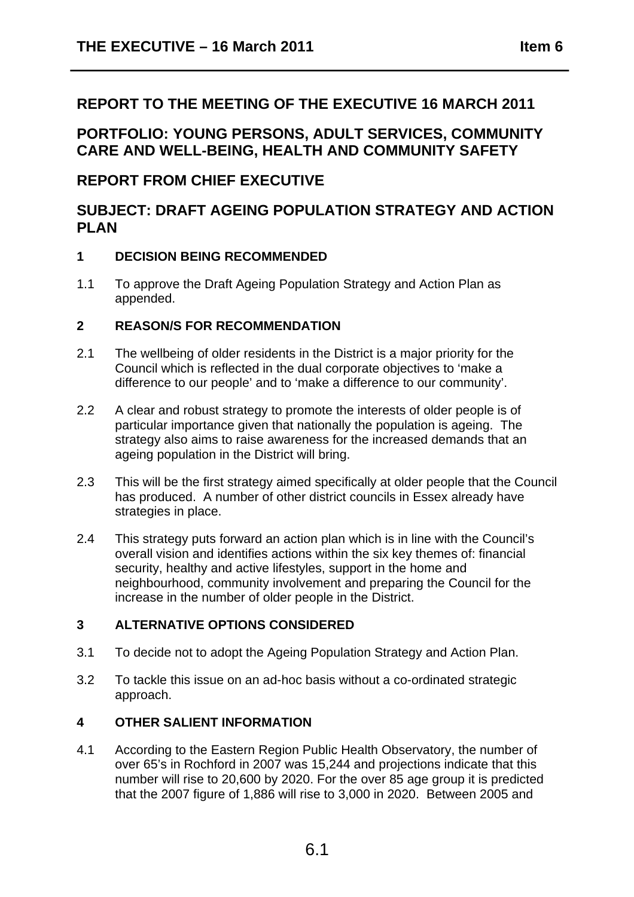# **REPORT TO THE MEETING OF THE EXECUTIVE 16 MARCH 2011**

**PORTFOLIO: YOUNG PERSONS, ADULT SERVICES, COMMUNITY CARE AND WELL-BEING, HEALTH AND COMMUNITY SAFETY** 

# **REPORT FROM CHIEF EXECUTIVE**

# **SUBJECT: DRAFT AGEING POPULATION STRATEGY AND ACTION PLAN**

# **1 DECISION BEING RECOMMENDED**

1.1 To approve the Draft Ageing Population Strategy and Action Plan as appended.

# **2 REASON/S FOR RECOMMENDATION**

- 2.1 The wellbeing of older residents in the District is a major priority for the Council which is reflected in the dual corporate objectives to 'make a difference to our people' and to 'make a difference to our community'.
- 2.2 A clear and robust strategy to promote the interests of older people is of particular importance given that nationally the population is ageing. The strategy also aims to raise awareness for the increased demands that an ageing population in the District will bring.
- 2.3 This will be the first strategy aimed specifically at older people that the Council has produced. A number of other district councils in Essex already have strategies in place.
- 2.4 This strategy puts forward an action plan which is in line with the Council's overall vision and identifies actions within the six key themes of: financial security, healthy and active lifestyles, support in the home and neighbourhood, community involvement and preparing the Council for the increase in the number of older people in the District.

# **3 ALTERNATIVE OPTIONS CONSIDERED**

- 3.1 To decide not to adopt the Ageing Population Strategy and Action Plan.
- 3.2 To tackle this issue on an ad-hoc basis without a co-ordinated strategic approach.

# **4 OTHER SALIENT INFORMATION**

4.1 According to the Eastern Region Public Health Observatory, the number of over 65's in Rochford in 2007 was 15,244 and projections indicate that this number will rise to 20,600 by 2020. For the over 85 age group it is predicted that the 2007 figure of 1,886 will rise to 3,000 in 2020. Between 2005 and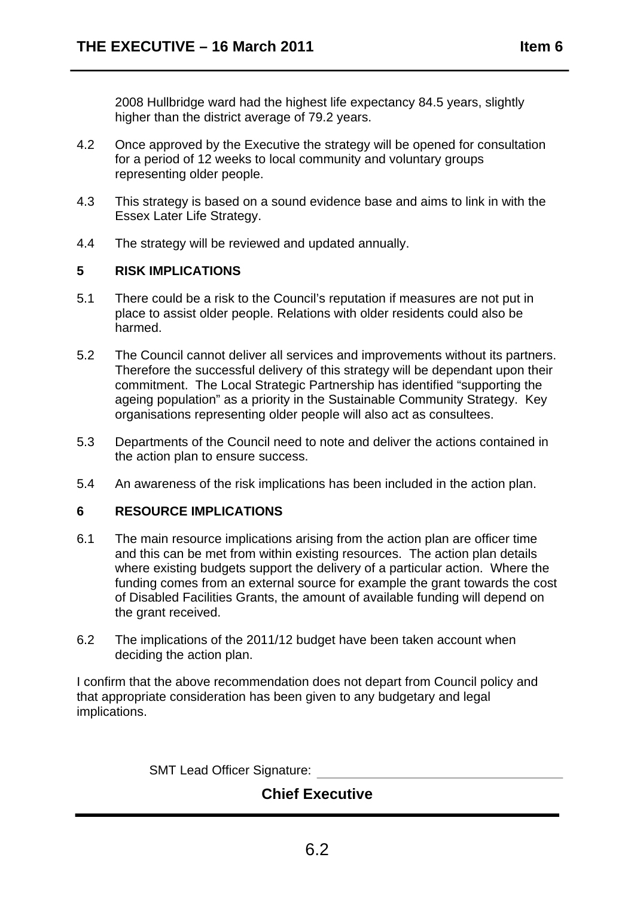2008 Hullbridge ward had the highest life expectancy 84.5 years, slightly higher than the district average of 79.2 years.

- 4.2 Once approved by the Executive the strategy will be opened for consultation for a period of 12 weeks to local community and voluntary groups representing older people.
- 4.3 This strategy is based on a sound evidence base and aims to link in with the Essex Later Life Strategy.
- 4.4 The strategy will be reviewed and updated annually.

# **5 RISK IMPLICATIONS**

- 5.1 There could be a risk to the Council's reputation if measures are not put in place to assist older people. Relations with older residents could also be harmed.
- 5.2 The Council cannot deliver all services and improvements without its partners. Therefore the successful delivery of this strategy will be dependant upon their commitment. The Local Strategic Partnership has identified "supporting the ageing population" as a priority in the Sustainable Community Strategy. Key organisations representing older people will also act as consultees.
- 5.3 Departments of the Council need to note and deliver the actions contained in the action plan to ensure success.
- 5.4 An awareness of the risk implications has been included in the action plan.

# **6 RESOURCE IMPLICATIONS**

- 6.1 The main resource implications arising from the action plan are officer time and this can be met from within existing resources. The action plan details where existing budgets support the delivery of a particular action. Where the funding comes from an external source for example the grant towards the cost of Disabled Facilities Grants, the amount of available funding will depend on the grant received.
- 6.2 The implications of the 2011/12 budget have been taken account when deciding the action plan.

I confirm that the above recommendation does not depart from Council policy and that appropriate consideration has been given to any budgetary and legal implications.

SMT Lead Officer Signature:

# **Chief Executive**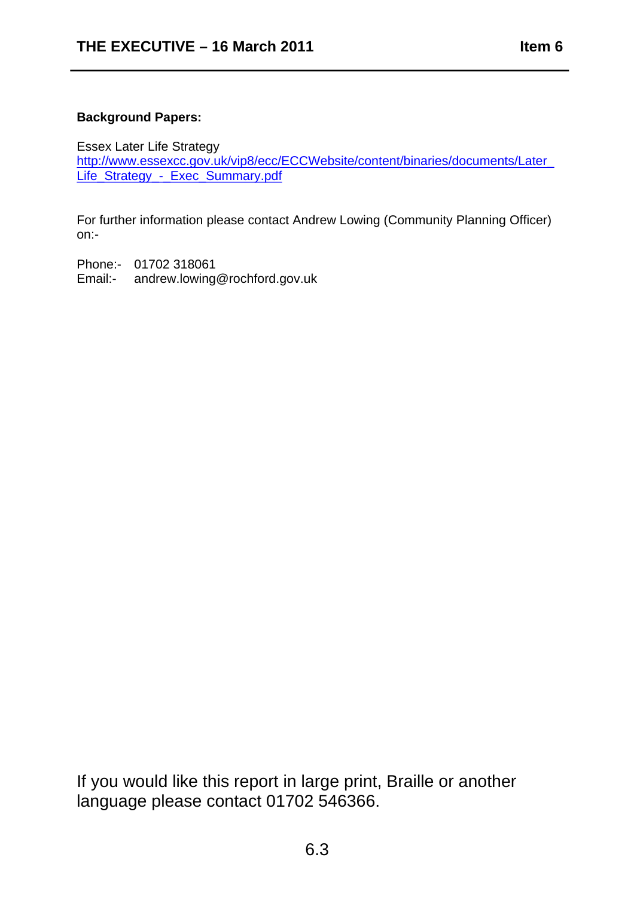# **Background Papers:**

Essex Later Life Strategy

http://www.essexcc.gov.uk/vip8/ecc/ECCWebsite/content/binaries/documents/Later\_ Life\_Strategy\_-\_Exec\_Summary.pdf

For further information please contact Andrew Lowing (Community Planning Officer) on:-

Phone:- 01702 318061

Email:- andrew.lowing@rochford.gov.uk

If you would like this report in large print, Braille or another language please contact 01702 546366.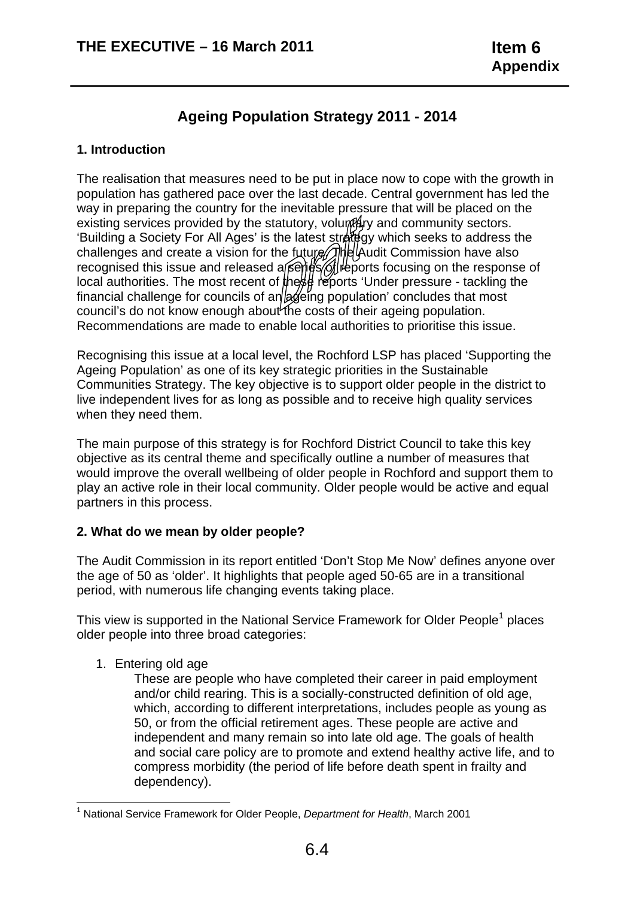# **Ageing Population Strategy 2011 - 2014**

#### **1. Introduction**

The realisation that measures need to be put in place now to cope with the growth in population has gathered pace over the last decade. Central government has led the way in preparing the country for the inevitable pressure that will be placed on the existing services provided by the statutory, volumerly and community sectors. 'Building a Society For All Ages' is the latest strategy which seeks to address the challenges and create a vision for the future. The Audit Commission have also recognised this issue and released a series of reports focusing on the response of local authorities. The most recent of these reports 'Under pressure - tackling the financial challenge for councils of an  $\alpha$  eing population' concludes that most council's do not know enough about the costs of their ageing population. Recommendations are made to enable local authorities to prioritise this issue.

Recognising this issue at a local level, the Rochford LSP has placed 'Supporting the Ageing Population' as one of its key strategic priorities in the Sustainable Communities Strategy. The key objective is to support older people in the district to live independent lives for as long as possible and to receive high quality services when they need them.

The main purpose of this strategy is for Rochford District Council to take this key objective as its central theme and specifically outline a number of measures that would improve the overall wellbeing of older people in Rochford and support them to play an active role in their local community. Older people would be active and equal partners in this process.

# **2. What do we mean by older people?**

The Audit Commission in its report entitled 'Don't Stop Me Now' defines anyone over the age of 50 as 'older'. It highlights that people aged 50-65 are in a transitional period, with numerous life changing events taking place.

This view is supported in the National Service Framework for Older People<sup>1</sup> places older people into three broad categories:

1. Entering old age

These are people who have completed their career in paid employment and/or child rearing. This is a socially-constructed definition of old age, which, according to different interpretations, includes people as young as 50, or from the official retirement ages. These people are active and independent and many remain so into late old age. The goals of health and social care policy are to promote and extend healthy active life, and to compress morbidity (the period of life before death spent in frailty and dependency).

<sup>&</sup>lt;sup>1</sup> National Service Framework for Older People, *Department for Health*, March 2001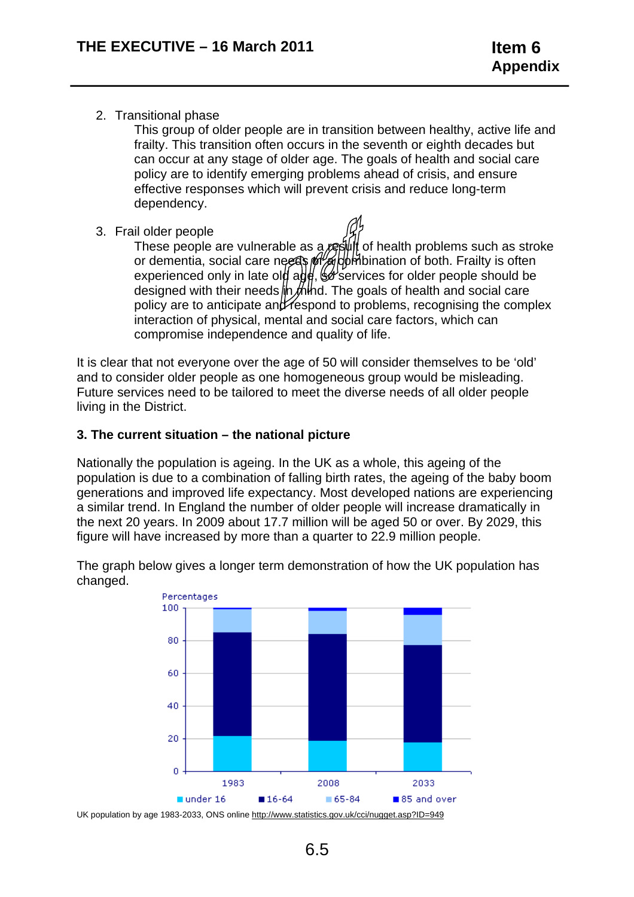2. Transitional phase

This group of older people are in transition between healthy, active life and frailty. This transition often occurs in the seventh or eighth decades but can occur at any stage of older age. The goals of health and social care policy are to identify emerging problems ahead of crisis, and ensure effective responses which will prevent crisis and reduce long-term dependency.

3. Frail older people

These people are vulnerable as a result of health problems such as stroke or dementia, social care needs  $\frac{\partial f}{\partial \theta}$  of bination of both. Frailty is often experienced only in late old age,  $\mathcal{G}$  services for older people should be designed with their needs  $\frac{1}{2}$  mearth and social care policy are to anticipate and  $\epsilon$  respond to problems, recognising the complex interaction of physical, mental and social care factors, which can compromise independence and quality of life.

It is clear that not everyone over the age of 50 will consider themselves to be 'old' and to consider older people as one homogeneous group would be misleading. Future services need to be tailored to meet the diverse needs of all older people living in the District.

# **3. The current situation – the national picture**

Nationally the population is ageing. In the UK as a whole, this ageing of the population is due to a combination of falling birth rates, the ageing of the baby boom generations and improved life expectancy. Most developed nations are experiencing a similar trend. In England the number of older people will increase dramatically in the next 20 years. In 2009 about 17.7 million will be aged 50 or over. By 2029, this figure will have increased by more than a quarter to 22.9 million people.

The graph below gives a longer term demonstration of how the UK population has changed.

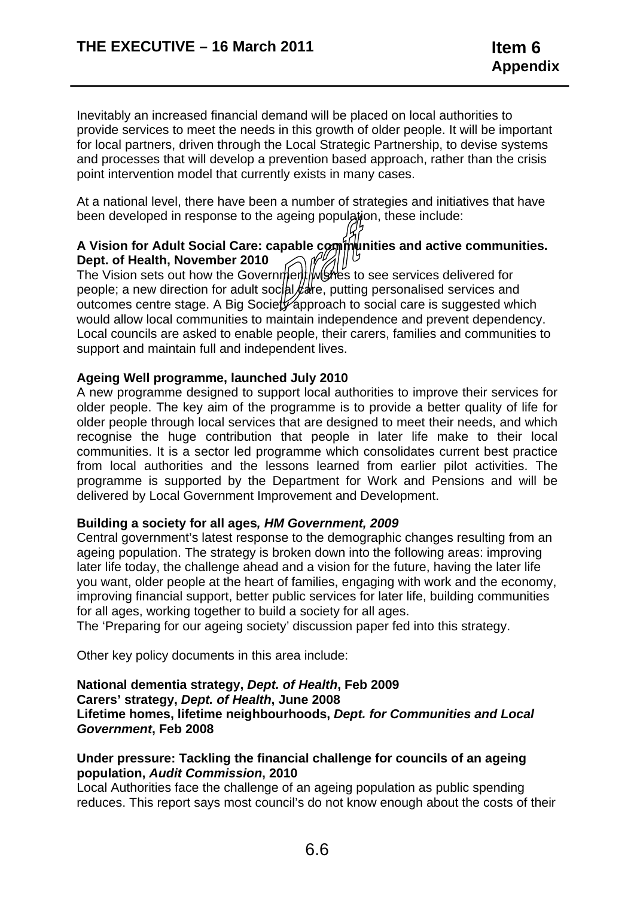Inevitably an increased financial demand will be placed on local authorities to provide services to meet the needs in this growth of older people. It will be important for local partners, driven through the Local Strategic Partnership, to devise systems and processes that will develop a prevention based approach, rather than the crisis point intervention model that currently exists in many cases.

At a national level, there have been a number of strategies and initiatives that have been developed in response to the ageing population, these include:

# A Vision for Adult Social Care: capable communities and active communities. **Dept. of Health, November 2010**

The Vision sets out how the Government wishes to see services delivered for people; a new direction for adult soc/al $k$ are, putting personalised services and outcomes centre stage. A Big Society approach to social care is suggested which would allow local communities to maintain independence and prevent dependency. Local councils are asked to enable people, their carers, families and communities to support and maintain full and independent lives.

#### **Ageing Well programme, launched July 2010**

A new programme designed to support local authorities to improve their services for older people. The key aim of the programme is to provide a better quality of life for older people through local services that are designed to meet their needs, and which recognise the huge contribution that people in later life make to their local communities. It is a sector led programme which consolidates current best practice from local authorities and the lessons learned from earlier pilot activities. The programme is supported by the Department for Work and Pensions and will be delivered by Local Government Improvement and Development.

#### **Building a society for all ages***, HM Government, 2009*

Central government's latest response to the demographic changes resulting from an ageing population. The strategy is broken down into the following areas: improving later life today, the challenge ahead and a vision for the future, having the later life you want, older people at the heart of families, engaging with work and the economy, improving financial support, better public services for later life, building communities for all ages, working together to build a society for all ages.

The 'Preparing for our ageing society' discussion paper fed into this strategy.

Other key policy documents in this area include:

#### **National dementia strategy,** *Dept. of Health***, Feb 2009 Carers' strategy,** *Dept. of Health***, June 2008 Lifetime homes, lifetime neighbourhoods,** *Dept. for Communities and Local Government***, Feb 2008**

#### **Under pressure: Tackling the financial challenge for councils of an ageing population,** *Audit Commission***, 2010**

Local Authorities face the challenge of an ageing population as public spending reduces. This report says most council's do not know enough about the costs of their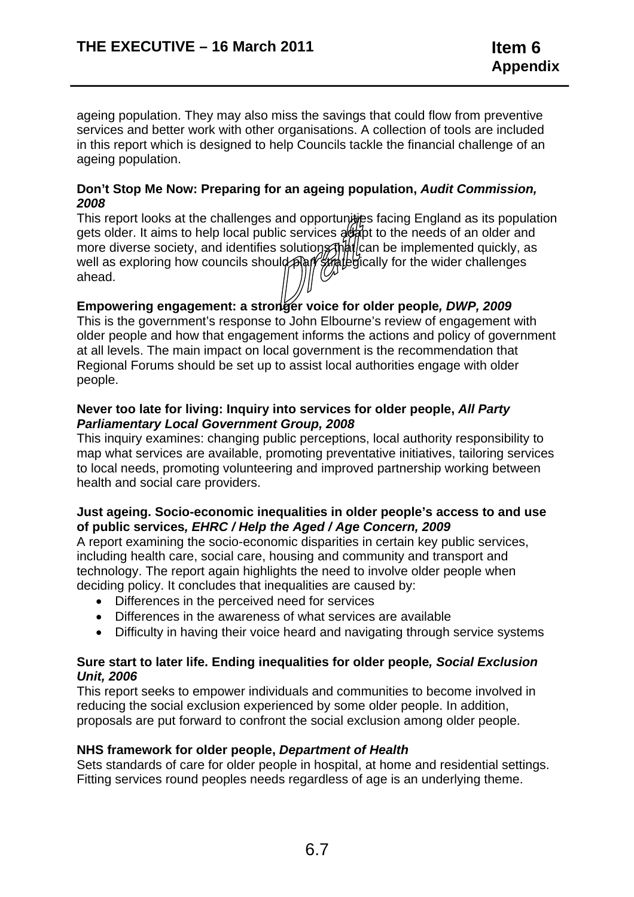ageing population. They may also miss the savings that could flow from preventive services and better work with other organisations. A collection of tools are included in this report which is designed to help Councils tackle the financial challenge of an ageing population.

#### *2008*  **Don't Stop Me Now: Preparing for an ageing population,** *Audit Commission,*

This report looks at the challenges and opportunities facing England as its population gets older. It aims to help local public services adapt to the needs of an older and more diverse society, and identifies solutions that can be implemented quickly, as well as exploring how councils should plan strategically for the wider challenges ahead.

# **Empowering engagement: a stronger voice for older people***, DWP, 2009*

This is the government's response to John Elbourne's review of engagement with older people and how that engagement informs the actions and policy of government at all levels. The main impact on local government is the recommendation that Regional Forums should be set up to assist local authorities engage with older people.

#### **Never too late for living: Inquiry into services for older people,** *All Party Parliamentary Local Government Group, 2008*

This inquiry examines: changing public perceptions, local authority responsibility to map what services are available, promoting preventative initiatives, tailoring services to local needs, promoting volunteering and improved partnership working between health and social care providers.

#### **Just ageing. Socio-economic inequalities in older people's access to and use of public services***, EHRC / Help the Aged / Age Concern, 2009*

A report examining the socio-economic disparities in certain key public services, including health care, social care, housing and community and transport and technology. The report again highlights the need to involve older people when deciding policy. It concludes that inequalities are caused by:

- Differences in the perceived need for services
- Differences in the awareness of what services are available
- Difficulty in having their voice heard and navigating through service systems

#### **Sure start to later life. Ending inequalities for older people***, Social Exclusion Unit, 2006*

This report seeks to empower individuals and communities to become involved in reducing the social exclusion experienced by some older people. In addition, proposals are put forward to confront the social exclusion among older people.

#### **NHS framework for older people,** *Department of Health*

Sets standards of care for older people in hospital, at home and residential settings. Fitting services round peoples needs regardless of age is an underlying theme.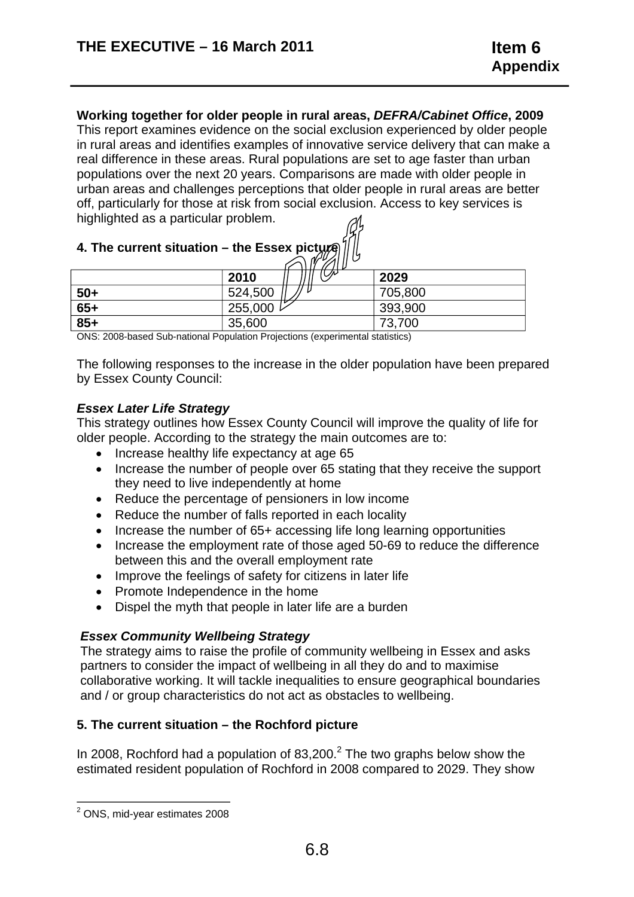# **Working together for older people in rural areas,** *DEFRA/Cabinet Office***, 2009**

This report examines evidence on the social exclusion experienced by older people in rural areas and identifies examples of innovative service delivery that can make a real difference in these areas. Rural populations are set to age faster than urban populations over the next 20 years. Comparisons are made with older people in urban areas and challenges perceptions that older people in rural areas are better off, particularly for those at risk from social exclusion. Access to key services is highlighted as a particular problem.

# **4. The current situation – the Essex picty**

|       | $\mathbb{Z}$ ll l' |         |
|-------|--------------------|---------|
|       | ₩<br>2010          | 2029    |
| $50+$ | 524,500            | 705,800 |
| $65+$ | 255,000            | 393,900 |
| $85+$ | 35,600             | 73,700  |

ONS: 2008-based Sub-national Population Projections (experimental statistics)

The following responses to the increase in the older population have been prepared by Essex County Council:

## *Essex Later Life Strategy*

This strategy outlines how Essex County Council will improve the quality of life for older people. According to the strategy the main outcomes are to:

- Increase healthy life expectancy at age 65
- Increase the number of people over 65 stating that they receive the support they need to live independently at home
- Reduce the percentage of pensioners in low income
- Reduce the number of falls reported in each locality
- Increase the number of 65+ accessing life long learning opportunities
- Increase the employment rate of those aged 50-69 to reduce the difference between this and the overall employment rate
- Improve the feelings of safety for citizens in later life
- Promote Independence in the home
- Dispel the myth that people in later life are a burden

#### *Essex Community Wellbeing Strategy*

The strategy aims to raise the profile of community wellbeing in Essex and asks partners to consider the impact of wellbeing in all they do and to maximise collaborative working. It will tackle inequalities to ensure geographical boundaries and / or group characteristics do not act as obstacles to wellbeing.

# **5. The current situation – the Rochford picture**

In 2008, Rochford had a population of  $83,200$ .<sup>2</sup> The two graphs below show the estimated resident population of Rochford in 2008 compared to 2029. They show

 $2$  ONS, mid-year estimates 2008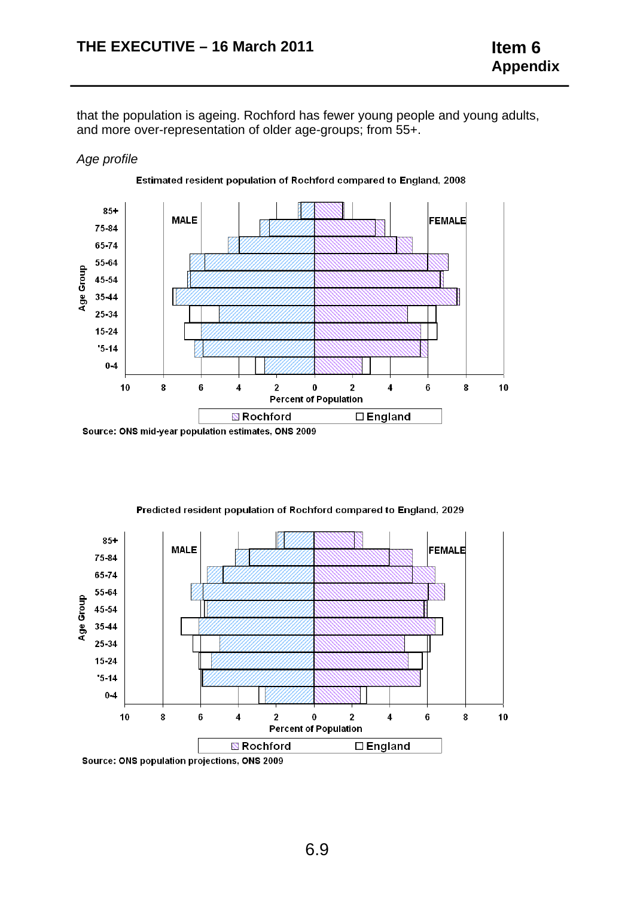that the population is ageing. Rochford has fewer young people and young adults, and more over-representation of older age-groups; from 55+.

#### *Age profile*



Source: ONS mid-year population estimates, ONS 2009



#### Predicted resident population of Rochford compared to England, 2029

Source: ONS population projections, ONS 2009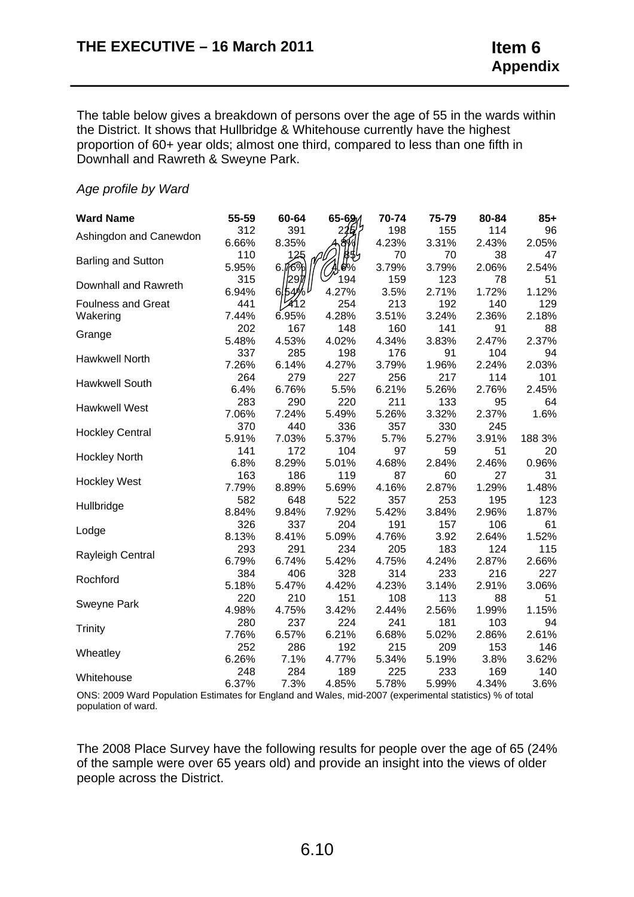The table below gives a breakdown of persons over the age of 55 in the wards within the District. It shows that Hullbridge & Whitehouse currently have the highest proportion of 60+ year olds; almost one third, compared to less than one fifth in Downhall and Rawreth & Sweyne Park.

#### *Age profile by Ward*

| <b>Ward Name</b>          | 55-59 | 60-64             | 65-69 | 70-74 | 75-79 | 80-84 | $85+$  |
|---------------------------|-------|-------------------|-------|-------|-------|-------|--------|
| Ashingdon and Canewdon    | 312   | 391               | 225   | 198   | 155   | 114   | 96     |
|                           | 6.66% | 8.35%             |       | 4.23% | 3.31% | 2.43% | 2.05%  |
| <b>Barling and Sutton</b> | 110   | 125               | 855   | 70    | 70    | 38    | 47     |
|                           | 5.95% | 6.76%             | .0%   | 3.79% | 3.79% | 2.06% | 2.54%  |
| Downhall and Rawreth      | 315   | 297               | 194   | 159   | 123   | 78    | 51     |
|                           | 6.94% | 6154 <sup>0</sup> | 4.27% | 3.5%  | 2.71% | 1.72% | 1.12%  |
| <b>Foulness and Great</b> | 441   | 12                | 254   | 213   | 192   | 140   | 129    |
| Wakering                  | 7.44% | 6.95%             | 4.28% | 3.51% | 3.24% | 2.36% | 2.18%  |
| Grange                    | 202   | 167               | 148   | 160   | 141   | 91    | 88     |
|                           | 5.48% | 4.53%             | 4.02% | 4.34% | 3.83% | 2.47% | 2.37%  |
| Hawkwell North            | 337   | 285               | 198   | 176   | 91    | 104   | 94     |
|                           | 7.26% | 6.14%             | 4.27% | 3.79% | 1.96% | 2.24% | 2.03%  |
| Hawkwell South            | 264   | 279               | 227   | 256   | 217   | 114   | 101    |
|                           | 6.4%  | 6.76%             | 5.5%  | 6.21% | 5.26% | 2.76% | 2.45%  |
| <b>Hawkwell West</b>      | 283   | 290               | 220   | 211   | 133   | 95    | 64     |
|                           | 7.06% | 7.24%             | 5.49% | 5.26% | 3.32% | 2.37% | 1.6%   |
| <b>Hockley Central</b>    | 370   | 440               | 336   | 357   | 330   | 245   |        |
|                           | 5.91% | 7.03%             | 5.37% | 5.7%  | 5.27% | 3.91% | 188 3% |
| <b>Hockley North</b>      | 141   | 172               | 104   | 97    | 59    | 51    | 20     |
|                           | 6.8%  | 8.29%             | 5.01% | 4.68% | 2.84% | 2.46% | 0.96%  |
| <b>Hockley West</b>       | 163   | 186               | 119   | 87    | 60    | 27    | 31     |
|                           | 7.79% | 8.89%             | 5.69% | 4.16% | 2.87% | 1.29% | 1.48%  |
| Hullbridge                | 582   | 648               | 522   | 357   | 253   | 195   | 123    |
|                           | 8.84% | 9.84%             | 7.92% | 5.42% | 3.84% | 2.96% | 1.87%  |
| Lodge                     | 326   | 337               | 204   | 191   | 157   | 106   | 61     |
|                           | 8.13% | 8.41%             | 5.09% | 4.76% | 3.92  | 2.64% | 1.52%  |
| Rayleigh Central          | 293   | 291               | 234   | 205   | 183   | 124   | 115    |
|                           | 6.79% | 6.74%             | 5.42% | 4.75% | 4.24% | 2.87% | 2.66%  |
| Rochford                  | 384   | 406               | 328   | 314   | 233   | 216   | 227    |
|                           | 5.18% | 5.47%             | 4.42% | 4.23% | 3.14% | 2.91% | 3.06%  |
| <b>Sweyne Park</b>        | 220   | 210               | 151   | 108   | 113   | 88    | 51     |
|                           | 4.98% | 4.75%             | 3.42% | 2.44% | 2.56% | 1.99% | 1.15%  |
| <b>Trinity</b>            | 280   | 237               | 224   | 241   | 181   | 103   | 94     |
|                           | 7.76% | 6.57%             | 6.21% | 6.68% | 5.02% | 2.86% | 2.61%  |
| Wheatley                  | 252   | 286               | 192   | 215   | 209   | 153   | 146    |
|                           | 6.26% | 7.1%              | 4.77% | 5.34% | 5.19% | 3.8%  | 3.62%  |
| Whitehouse                | 248   | 284               | 189   | 225   | 233   | 169   | 140    |
|                           | 6.37% | 7.3%              | 4.85% | 5.78% | 5.99% | 4.34% | 3.6%   |

ONS: 2009 Ward Population Estimates for England and Wales, mid-2007 (experimental statistics) % of total population of ward.

The 2008 Place Survey have the following results for people over the age of 65 (24% of the sample were over 65 years old) and provide an insight into the views of older people across the District.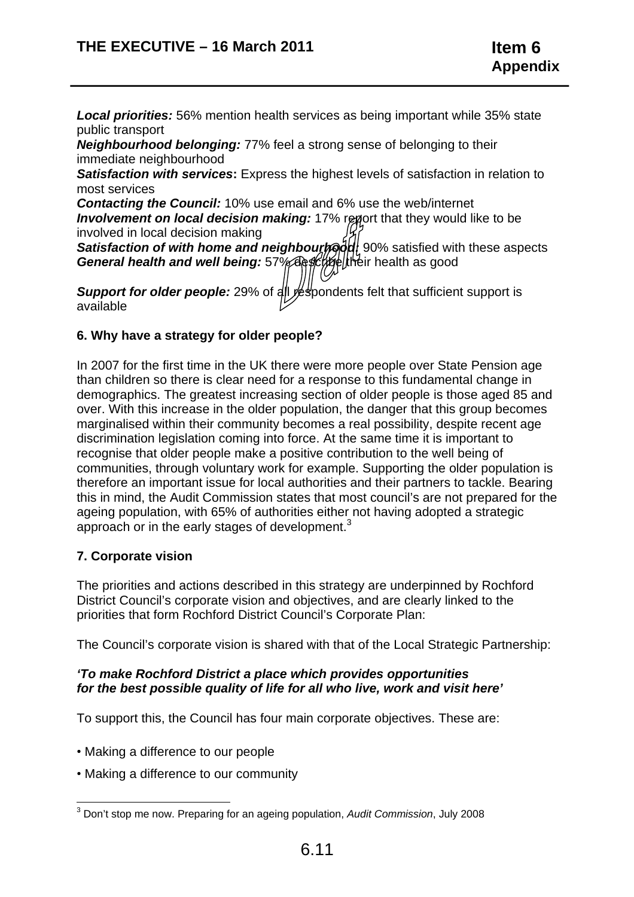*Local priorities:* 56% mention health services as being important while 35% state public transport

*Neighbourhood belonging:* 77% feel a strong sense of belonging to their immediate neighbourhood

**Satisfaction with services:** Express the highest levels of satisfaction in relation to most services

*Contacting the Council:* 10% use email and 6% use the web/internet *Involvement on local decision making: 17% report that they would like to be* involved in local decision making

**Satisfaction of with home and neighbourhoof** 90% satisfied with these aspects General health and well being: 57% desk heir health as good

**Support for older people:** 29% of all respondents felt that sufficient support is available

# **6. Why have a strategy for older people?**

In 2007 for the first time in the UK there were more people over State Pension age than children so there is clear need for a response to this fundamental change in demographics. The greatest increasing section of older people is those aged 85 and over. With this increase in the older population, the danger that this group becomes marginalised within their community becomes a real possibility, despite recent age discrimination legislation coming into force. At the same time it is important to recognise that older people make a positive contribution to the well being of communities, through voluntary work for example. Supporting the older population is therefore an important issue for local authorities and their partners to tackle. Bearing this in mind, the Audit Commission states that most council's are not prepared for the ageing population, with 65% of authorities either not having adopted a strategic approach or in the early stages of development.<sup>3</sup>

#### **7. Corporate vision**

The priorities and actions described in this strategy are underpinned by Rochford District Council's corporate vision and objectives, and are clearly linked to the priorities that form Rochford District Council's Corporate Plan:

The Council's corporate vision is shared with that of the Local Strategic Partnership:

## *'To make Rochford District a place which provides opportunities for the best possible quality of life for all who live, work and visit here'*

To support this, the Council has four main corporate objectives. These are:

- Making a difference to our people
- Making a difference to our community

<sup>&</sup>lt;sup>3</sup> Don't stop me now. Preparing for an ageing population, Audit Commission, July 2008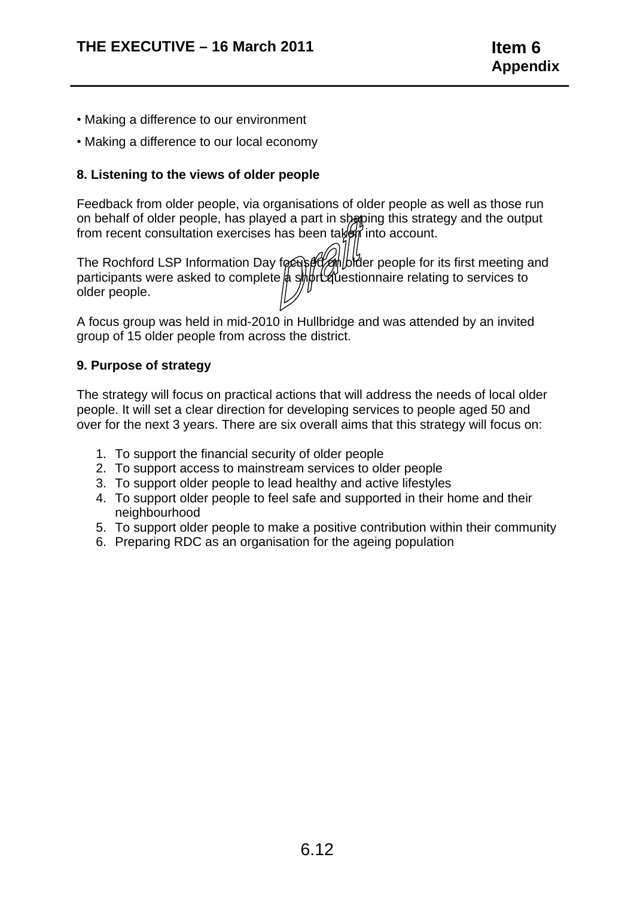- Making a difference to our environment
- Making a difference to our local economy

# **8. Listening to the views of older people**

Feedback from older people, via organisations of older people as well as those run on behalf of older people, has played a part in shaping this strategy and the output from recent consultation exercises has been taken into account.

older people. The Rochford LSP Information Day focus of the bider people for its first meeting and participants were asked to complete a ship transitionnaire relating to services to

A focus group was held in mid-2010 in Hullbridge and was attended by an invited group of 15 older people from across the district.

# **9. Purpose of strategy**

The strategy will focus on practical actions that will address the needs of local older people. It will set a clear direction for developing services to people aged 50 and over for the next 3 years. There are six overall aims that this strategy will focus on:

- 1. To support the financial security of older people
- 2. To support access to mainstream services to older people
- 3. To support older people to lead healthy and active lifestyles
- 4. To support older people to feel safe and supported in their home and their neighbourhood
- 5. To support older people to make a positive contribution within their community
- 6. Preparing RDC as an organisation for the ageing population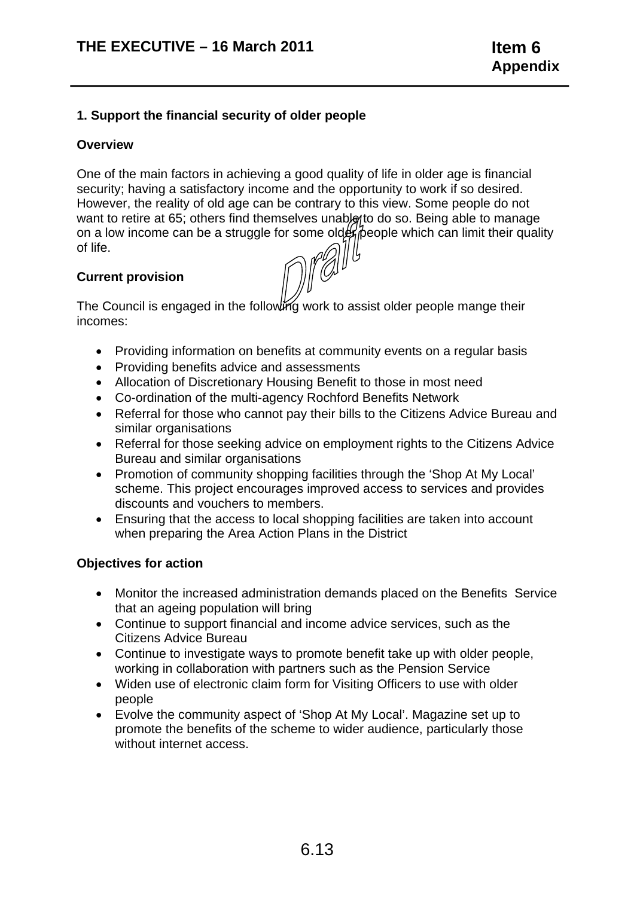## **1. Support the financial security of older people**

#### **Overview**

One of the main factors in achieving a good quality of life in older age is financial security; having a satisfactory income and the opportunity to work if so desired. However, the reality of old age can be contrary to this view. Some people do not want to retire at 65; others find themselves unable to do so. Being able to manage on a low income can be a struggle for some older people which can limit their quality of life.

## **Current provision**

The Council is engaged in the following work to assist older people mange their incomes:

- Providing information on benefits at community events on a regular basis
- Providing benefits advice and assessments
- Allocation of Discretionary Housing Benefit to those in most need
- Co-ordination of the multi-agency Rochford Benefits Network
- Referral for those who cannot pay their bills to the Citizens Advice Bureau and similar organisations
- Referral for those seeking advice on employment rights to the Citizens Advice Bureau and similar organisations
- Promotion of community shopping facilities through the 'Shop At My Local' scheme. This project encourages improved access to services and provides discounts and vouchers to members.
- Ensuring that the access to local shopping facilities are taken into account when preparing the Area Action Plans in the District

#### **Objectives for action**

- Monitor the increased administration demands placed on the Benefits Service that an ageing population will bring
- Continue to support financial and income advice services, such as the Citizens Advice Bureau
- Continue to investigate ways to promote benefit take up with older people, working in collaboration with partners such as the Pension Service
- Widen use of electronic claim form for Visiting Officers to use with older people
- Evolve the community aspect of 'Shop At My Local'. Magazine set up to promote the benefits of the scheme to wider audience, particularly those without internet access.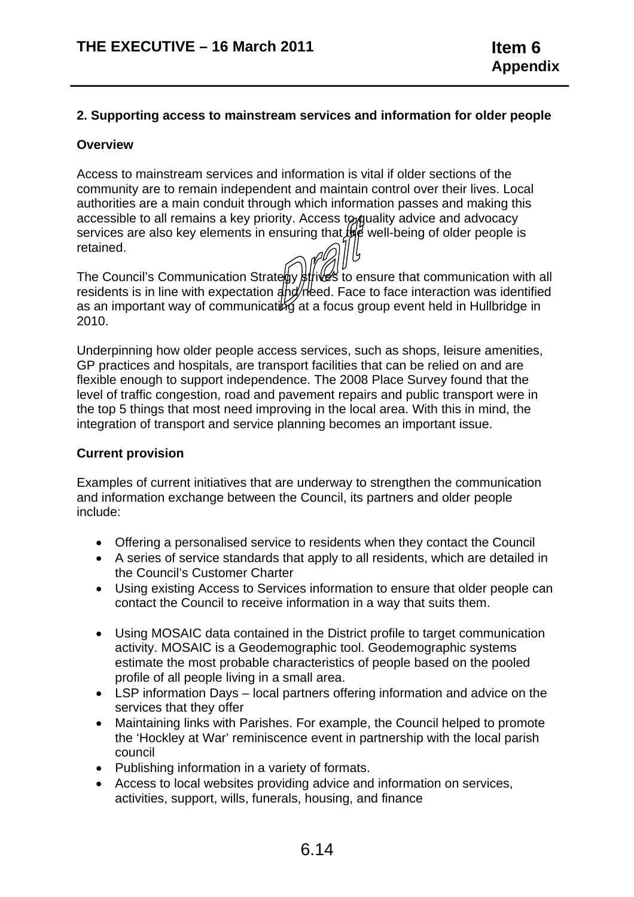## **2. Supporting access to mainstream services and information for older people**

#### **Overview**

Access to mainstream services and information is vital if older sections of the community are to remain independent and maintain control over their lives. Local authorities are a main conduit through which information passes and making this accessible to all remains a key priority. Access to quality advice and advocacy services are also key elements in ensuring that  $\theta$  well-being of older people is retained.

The Council's Communication Strate by strives to ensure that communication with all residents is in line with expectation  $4$ hd/reed. Face to face interaction was identified as an important way of communicating at a focus group event held in Hullbridge in 2010.

Underpinning how older people access services, such as shops, leisure amenities, GP practices and hospitals, are transport facilities that can be relied on and are flexible enough to support independence. The 2008 Place Survey found that the level of traffic congestion, road and pavement repairs and public transport were in the top 5 things that most need improving in the local area. With this in mind, the integration of transport and service planning becomes an important issue.

## **Current provision**

Examples of current initiatives that are underway to strengthen the communication and information exchange between the Council, its partners and older people include:

- Offering a personalised service to residents when they contact the Council
- A series of service standards that apply to all residents, which are detailed in the Council's Customer Charter
- Using existing Access to Services information to ensure that older people can contact the Council to receive information in a way that suits them.
- Using MOSAIC data contained in the District profile to target communication activity. MOSAIC is a Geodemographic tool. Geodemographic systems estimate the most probable characteristics of people based on the pooled profile of all people living in a small area.
- LSP information Days local partners offering information and advice on the services that they offer
- Maintaining links with Parishes. For example, the Council helped to promote the 'Hockley at War' reminiscence event in partnership with the local parish council
- Publishing information in a variety of formats.
- Access to local websites providing advice and information on services, activities, support, wills, funerals, housing, and finance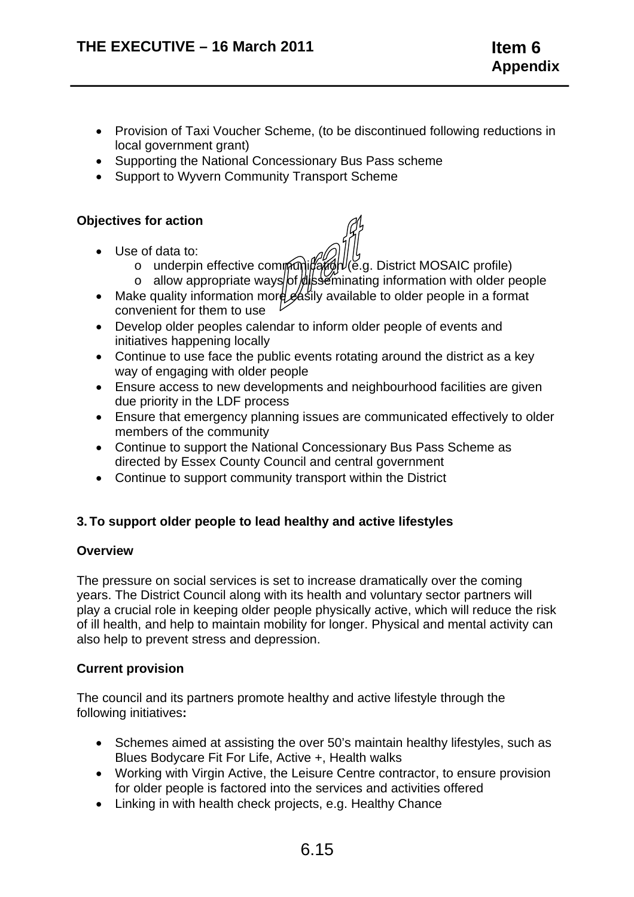- Provision of Taxi Voucher Scheme, (to be discontinued following reductions in local government grant)
- Supporting the National Concessionary Bus Pass scheme
- Support to Wyvern Community Transport Scheme

#### **Objectives for action**

- Use of data to:
	- $\circ$  underpin effective communitation (e.g. District MOSAIC profile)
	- $\circ$  allow appropriate ways of disseminating information with older people
- Make quality information more gasily available to older people in a format convenient for them to use
- Develop older peoples calendar to inform older people of events and initiatives happening locally
- Continue to use face the public events rotating around the district as a key way of engaging with older people
- Ensure access to new developments and neighbourhood facilities are given due priority in the LDF process
- Ensure that emergency planning issues are communicated effectively to older members of the community
- Continue to support the National Concessionary Bus Pass Scheme as directed by Essex County Council and central government
- Continue to support community transport within the District

#### **3. To support older people to lead healthy and active lifestyles**

#### **Overview**

The pressure on social services is set to increase dramatically over the coming years. The District Council along with its health and voluntary sector partners will play a crucial role in keeping older people physically active, which will reduce the risk of ill health, and help to maintain mobility for longer. Physical and mental activity can also help to prevent stress and depression.

#### **Current provision**

The council and its partners promote healthy and active lifestyle through the following initiatives**:** 

- Schemes aimed at assisting the over 50's maintain healthy lifestyles, such as Blues Bodycare Fit For Life, Active +, Health walks
- Working with Virgin Active, the Leisure Centre contractor, to ensure provision for older people is factored into the services and activities offered
- Linking in with health check projects, e.g. Healthy Chance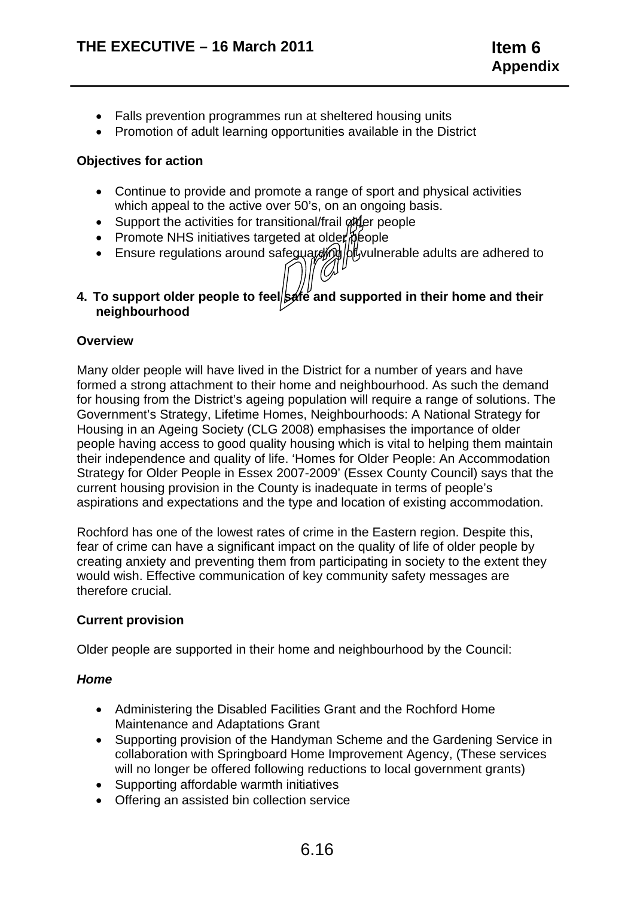- Falls prevention programmes run at sheltered housing units
- Promotion of adult learning opportunities available in the District

## **Objectives for action**

- Continue to provide and promote a range of sport and physical activities which appeal to the active over 50's, on an ongoing basis.
- Support the activities for transitional/frail of the people
- Promote NHS initiatives targeted at older  $\beta$  eople
- Ensure regulations around safeguarding bit vulnerable adults are adhered to
- **neighbourhood**  4. To support older people to feel**/safe** and supported in their home and their

#### **Overview**

Many older people will have lived in the District for a number of years and have formed a strong attachment to their home and neighbourhood. As such the demand for housing from the District's ageing population will require a range of solutions. The Government's Strategy, Lifetime Homes, Neighbourhoods: A National Strategy for Housing in an Ageing Society (CLG 2008) emphasises the importance of older people having access to good quality housing which is vital to helping them maintain their independence and quality of life. 'Homes for Older People: An Accommodation Strategy for Older People in Essex 2007-2009' (Essex County Council) says that the current housing provision in the County is inadequate in terms of people's aspirations and expectations and the type and location of existing accommodation.

Rochford has one of the lowest rates of crime in the Eastern region. Despite this, fear of crime can have a significant impact on the quality of life of older people by creating anxiety and preventing them from participating in society to the extent they would wish. Effective communication of key community safety messages are therefore crucial.

#### **Current provision**

Older people are supported in their home and neighbourhood by the Council:

#### *Home*

- Administering the Disabled Facilities Grant and the Rochford Home Maintenance and Adaptations Grant
- Supporting provision of the Handyman Scheme and the Gardening Service in collaboration with Springboard Home Improvement Agency, (These services will no longer be offered following reductions to local government grants)
- Supporting affordable warmth initiatives
- Offering an assisted bin collection service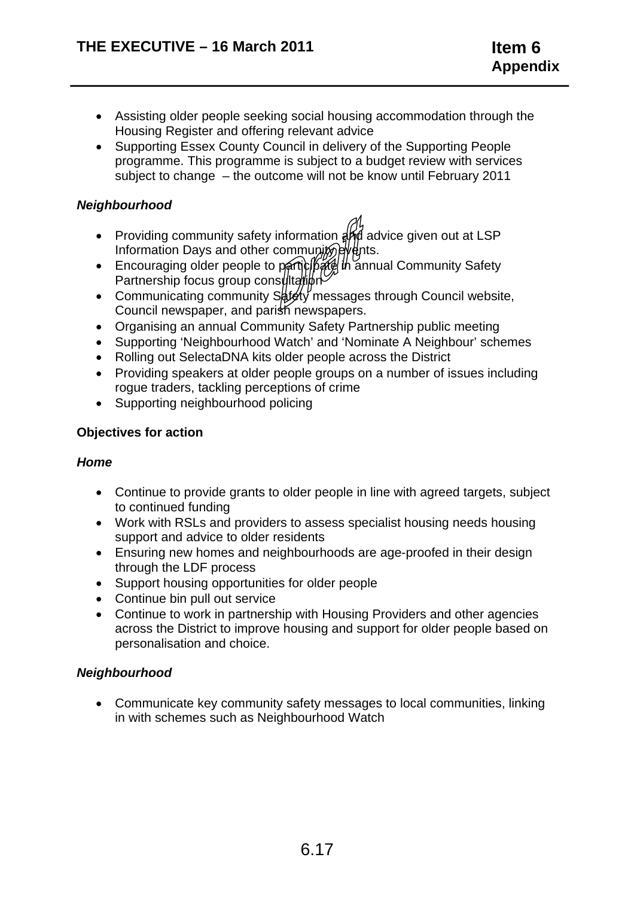- Assisting older people seeking social housing accommodation through the Housing Register and offering relevant advice
- Supporting Essex County Council in delivery of the Supporting People programme. This programme is subject to a budget review with services subject to change – the outcome will not be know until February 2011

# *Neighbourhood*

- Providing community safety information  $a_{n}^{(1)}$  advice given out at LSP Information Days and other community  $\frac{dy}{dx}$ ts.
- Encouraging older people to participate in annual Community Safety Partnership focus group consultation
- Communicating community  $S_{\theta}$  term messages through Council website, Council newspaper, and parish newspapers.
- Organising an annual Community Safety Partnership public meeting
- Supporting 'Neighbourhood Watch' and 'Nominate A Neighbour' schemes
- Rolling out SelectaDNA kits older people across the District
- Providing speakers at older people groups on a number of issues including rogue traders, tackling perceptions of crime
- Supporting neighbourhood policing

# **Objectives for action**

# *Home*

- Continue to provide grants to older people in line with agreed targets, subject to continued funding
- Work with RSLs and providers to assess specialist housing needs housing support and advice to older residents
- Ensuring new homes and neighbourhoods are age-proofed in their design through the LDF process
- Support housing opportunities for older people
- Continue bin pull out service
- Continue to work in partnership with Housing Providers and other agencies across the District to improve housing and support for older people based on personalisation and choice.

# *Neighbourhood*

• Communicate key community safety messages to local communities, linking in with schemes such as Neighbourhood Watch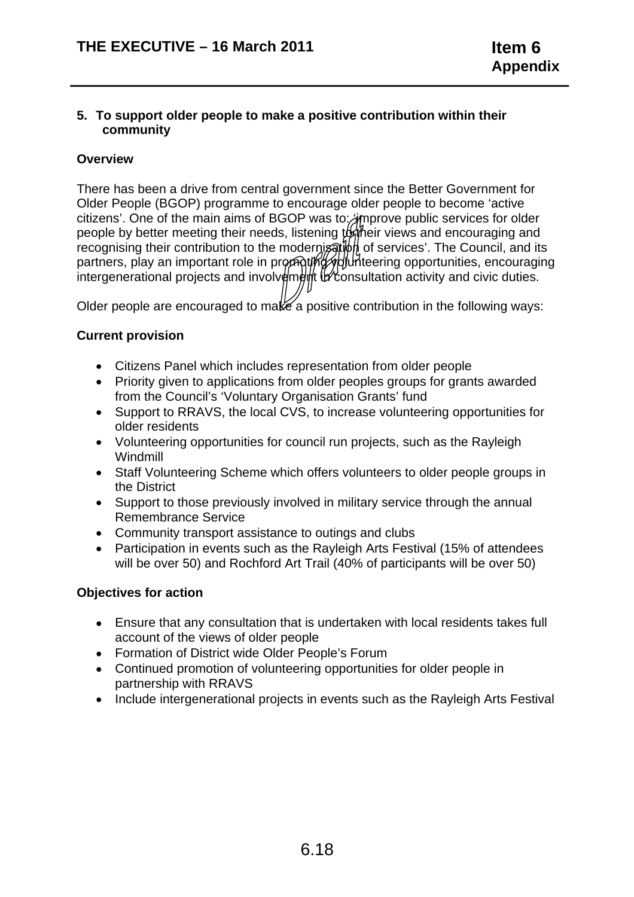#### **5. To support older people to make a positive contribution within their community**

## **Overview**

There has been a drive from central government since the Better Government for Older People (BGOP) programme to encourage older people to become 'active citizens'. One of the main aims of BGOP was to: improve public services for older people by better meeting their needs, listening to their views and encouraging and recognising their contribution to the modernisation of services'. The Council, and its partners, play an important role in promoting volunteering opportunities, encouraging intergenerational projects and involv $\frac{d}{dt}$  in the consultation activity and civic duties.

Older people are encouraged to make a positive contribution in the following ways:

## **Current provision**

- Citizens Panel which includes representation from older people
- Priority given to applications from older peoples groups for grants awarded from the Council's 'Voluntary Organisation Grants' fund
- Support to RRAVS, the local CVS, to increase volunteering opportunities for older residents
- Volunteering opportunities for council run projects, such as the Rayleigh Windmill
- Staff Volunteering Scheme which offers volunteers to older people groups in the District
- Support to those previously involved in military service through the annual Remembrance Service
- Community transport assistance to outings and clubs
- Participation in events such as the Rayleigh Arts Festival (15% of attendees will be over 50) and Rochford Art Trail (40% of participants will be over 50)

# **Objectives for action**

- Ensure that any consultation that is undertaken with local residents takes full account of the views of older people
- Formation of District wide Older People's Forum
- Continued promotion of volunteering opportunities for older people in partnership with RRAVS
- Include intergenerational projects in events such as the Rayleigh Arts Festival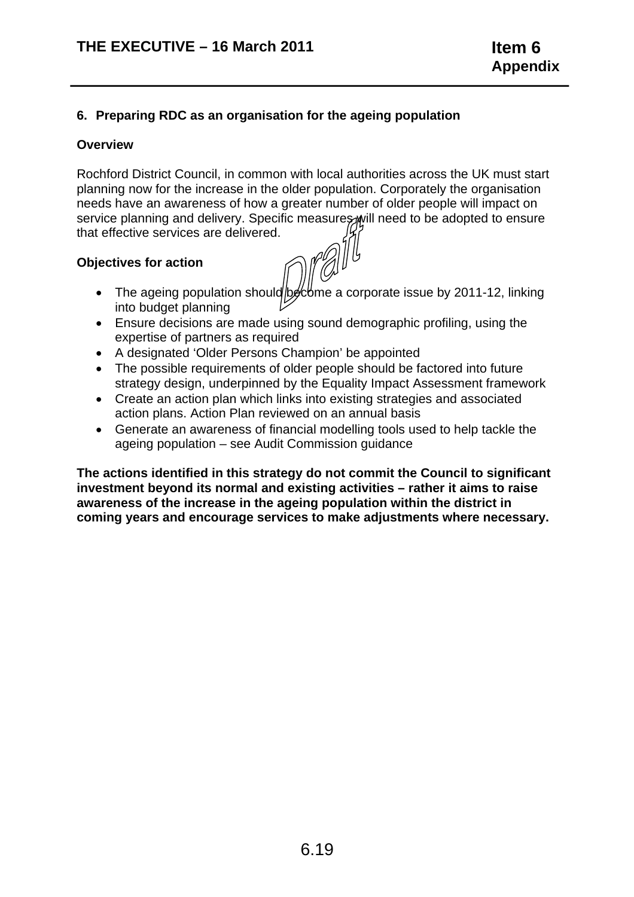## **6. Preparing RDC as an organisation for the ageing population**

#### **Overview**

Rochford District Council, in common with local authorities across the UK must start planning now for the increase in the older population. Corporately the organisation needs have an awareness of how a greater number of older people will impact on service planning and delivery. Specific measures will need to be adopted to ensure that effective services are delivered.

#### **Objectives for action**

- The ageing population should be be a corporate issue by 2011-12, linking into budget planning
- Ensure decisions are made using sound demographic profiling, using the expertise of partners as required
- A designated 'Older Persons Champion' be appointed
- The possible requirements of older people should be factored into future strategy design, underpinned by the Equality Impact Assessment framework
- Create an action plan which links into existing strategies and associated action plans. Action Plan reviewed on an annual basis
- Generate an awareness of financial modelling tools used to help tackle the ageing population – see Audit Commission guidance

**The actions identified in this strategy do not commit the Council to significant investment beyond its normal and existing activities – rather it aims to raise awareness of the increase in the ageing population within the district in coming years and encourage services to make adjustments where necessary.**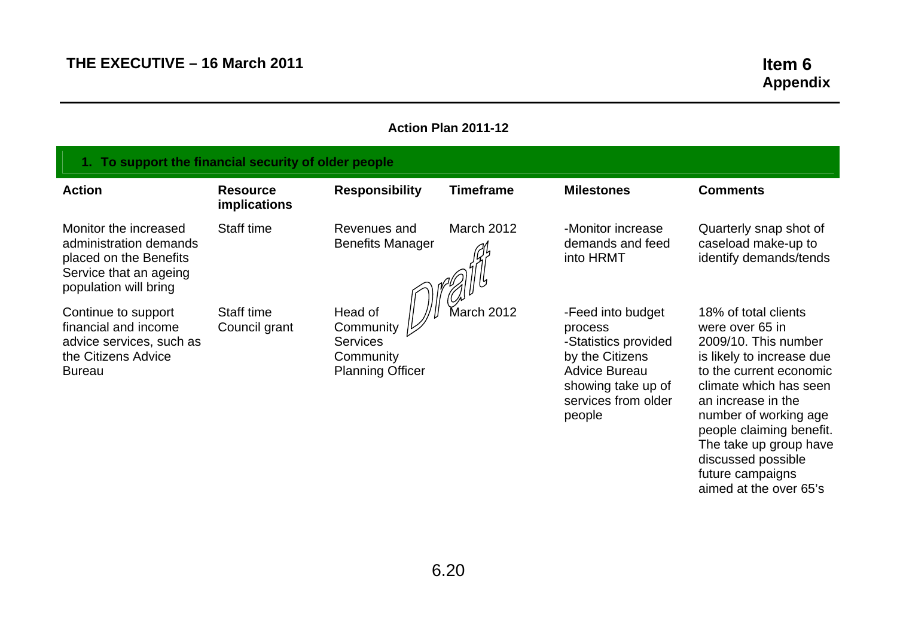aimed at the over 65's

| Action Plan 2011-12                                                                                                          |                                        |                                                                                 |                   |                                                                                                                                                        |                                                                                                                                                                                                                                                                                                  |  |  |
|------------------------------------------------------------------------------------------------------------------------------|----------------------------------------|---------------------------------------------------------------------------------|-------------------|--------------------------------------------------------------------------------------------------------------------------------------------------------|--------------------------------------------------------------------------------------------------------------------------------------------------------------------------------------------------------------------------------------------------------------------------------------------------|--|--|
| 1. To support the financial security of older people                                                                         |                                        |                                                                                 |                   |                                                                                                                                                        |                                                                                                                                                                                                                                                                                                  |  |  |
| <b>Action</b>                                                                                                                | <b>Resource</b><br><b>implications</b> | <b>Responsibility</b>                                                           | <b>Timeframe</b>  | <b>Milestones</b>                                                                                                                                      | <b>Comments</b>                                                                                                                                                                                                                                                                                  |  |  |
| Monitor the increased<br>administration demands<br>placed on the Benefits<br>Service that an ageing<br>population will bring | Staff time                             | Revenues and<br><b>Benefits Manager</b>                                         | <b>March 2012</b> | -Monitor increase<br>demands and feed<br>into HRMT                                                                                                     | Quarterly snap shot of<br>caseload make-up to<br>identify demands/tends                                                                                                                                                                                                                          |  |  |
| Continue to support<br>financial and income<br>advice services, such as<br>the Citizens Advice<br><b>Bureau</b>              | Staff time<br>Council grant            | Head of<br>Community<br><b>Services</b><br>Community<br><b>Planning Officer</b> | March 2012        | -Feed into budget<br>process<br>-Statistics provided<br>by the Citizens<br><b>Advice Bureau</b><br>showing take up of<br>services from older<br>people | 18% of total clients<br>were over 65 in<br>2009/10. This number<br>is likely to increase due<br>to the current economic<br>climate which has seen<br>an increase in the<br>number of working age<br>people claiming benefit.<br>The take up group have<br>discussed possible<br>future campaigns |  |  |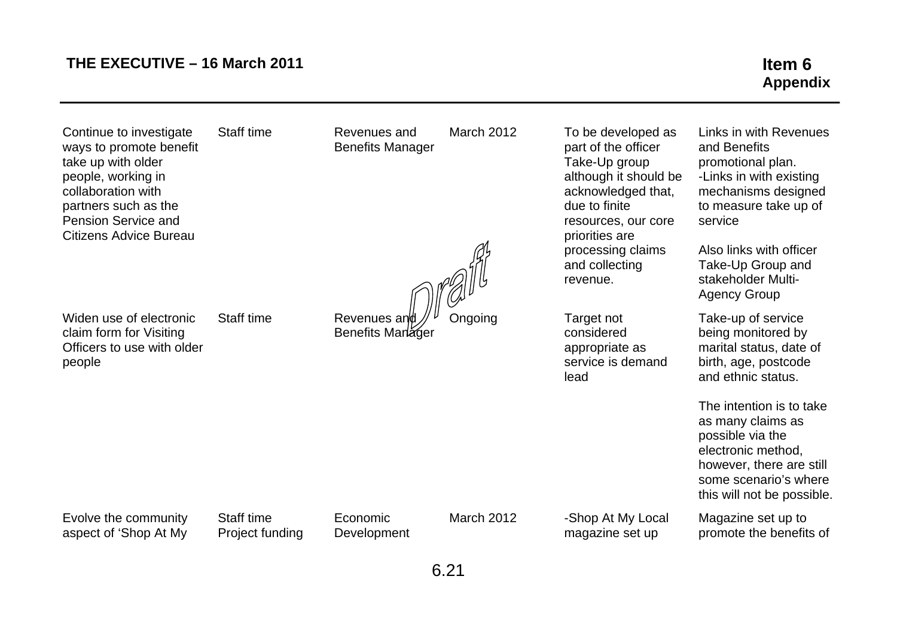# THE EXECUTIVE – 16 March 2011 **Item 6**

# **Appendix**

Continue to investigate Staff time Revenues and March 2012 To be developed as ways to promote benefit **Benefits Manager part of the officer** part of the officer take up with older **Take-Up group** people, working in although it should be people, working in collaboration with a collaboration with  $\alpha$  collaboration with  $\alpha$ ,  $\alpha$  acknowledged that, partners such as the due to finite due to finite due to finite due to finite due to finite Pension Service and resources, our core example and resources and resources, our core **Citizens Advice Bureau** *priorities* are

Widen use of electronic Staff time

claim form for Visiting Officers to use with older people

Revenues and  $\mathcal{N}^{\nu}$  Ongoing Target not Benefits Manager considered

processing claims and collecting revenue.

appropriate as service is demand lead

Links in with Revenues and Benefits promotional plan. -Links in with existing mechanisms designed to measure take up of service

Also links with officer Take-Up Group and stakeholder Multi-Agency Group

Take-up of service being monitored by marital status, date of birth, age, postcode and ethnic status.

The intention is to take as many claims as possible via the electronic method, however, there are still some scenario's where this will not be possible.

Magazine set up to promote the benefits of

Evolve the community Staff time Economic March 2012 -Shop At My Local aspect of 'Shop At My Project funding Development magazine set up

6.21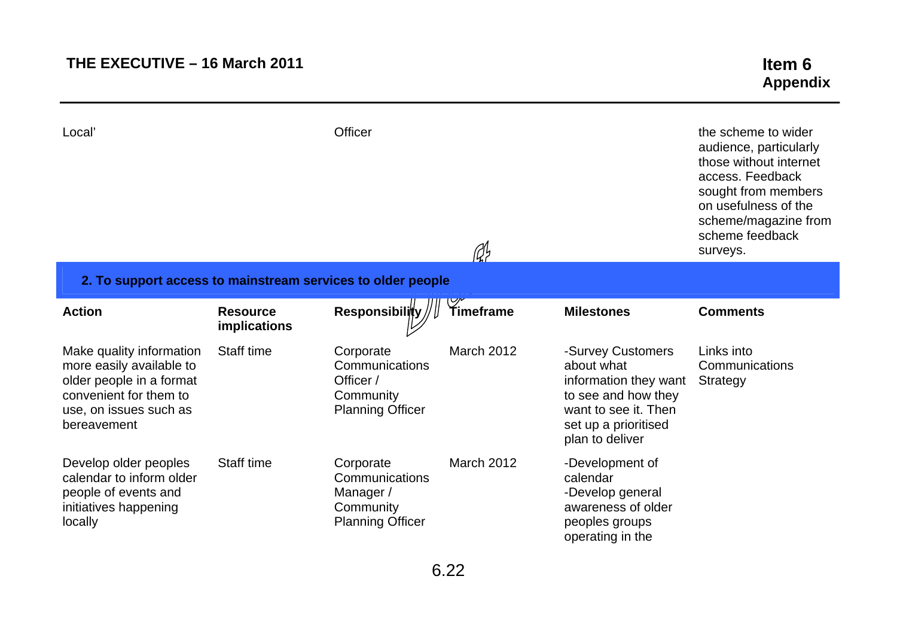# **THE EXECUTIVE – 16 March 2011 Item 6**

| Local'                                                                                                                                              |                                 | Officer                                                                          | A                 |                                                                                                                                                    | the scheme to wider<br>audience, particularly<br>those without internet<br>access. Feedback<br>sought from members<br>on usefulness of the<br>scheme/magazine from<br>scheme feedback<br>surveys. |
|-----------------------------------------------------------------------------------------------------------------------------------------------------|---------------------------------|----------------------------------------------------------------------------------|-------------------|----------------------------------------------------------------------------------------------------------------------------------------------------|---------------------------------------------------------------------------------------------------------------------------------------------------------------------------------------------------|
| 2. To support access to mainstream services to older people                                                                                         |                                 |                                                                                  |                   |                                                                                                                                                    |                                                                                                                                                                                                   |
| <b>Action</b>                                                                                                                                       | <b>Resource</b><br>implications | <b>Responsibility</b>                                                            | Timeframe         | <b>Milestones</b>                                                                                                                                  | <b>Comments</b>                                                                                                                                                                                   |
| Make quality information<br>more easily available to<br>older people in a format<br>convenient for them to<br>use, on issues such as<br>bereavement | Staff time                      | Corporate<br>Communications<br>Officer /<br>Community<br><b>Planning Officer</b> | <b>March 2012</b> | -Survey Customers<br>about what<br>information they want<br>to see and how they<br>want to see it. Then<br>set up a prioritised<br>plan to deliver | Links into<br>Communications<br>Strategy                                                                                                                                                          |
| Develop older peoples<br>calendar to inform older<br>people of events and<br>initiatives happening<br>locally                                       | Staff time                      | Corporate<br>Communications<br>Manager /<br>Community<br><b>Planning Officer</b> | <b>March 2012</b> | -Development of<br>calendar<br>-Develop general<br>awareness of older<br>peoples groups<br>operating in the                                        |                                                                                                                                                                                                   |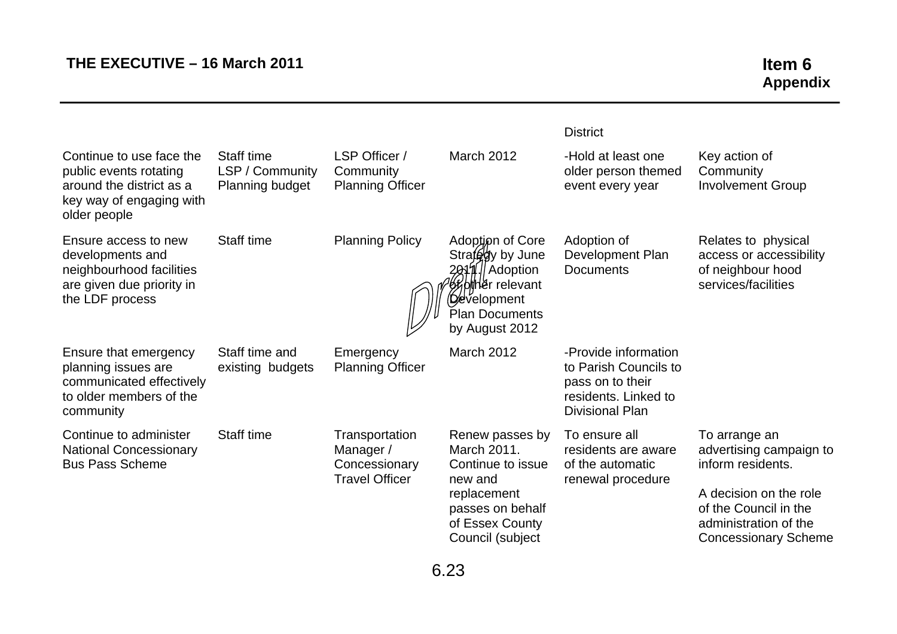|                                                                                                                            |                                                  |                                                                       |                                                                                                                                                           | <b>District</b>                                                                                                     |                                                                                                                                                                          |
|----------------------------------------------------------------------------------------------------------------------------|--------------------------------------------------|-----------------------------------------------------------------------|-----------------------------------------------------------------------------------------------------------------------------------------------------------|---------------------------------------------------------------------------------------------------------------------|--------------------------------------------------------------------------------------------------------------------------------------------------------------------------|
| Continue to use face the<br>public events rotating<br>around the district as a<br>key way of engaging with<br>older people | Staff time<br>LSP / Community<br>Planning budget | LSP Officer /<br>Community<br><b>Planning Officer</b>                 | <b>March 2012</b>                                                                                                                                         | -Hold at least one<br>older person themed<br>event every year                                                       | Key action of<br>Community<br><b>Involvement Group</b>                                                                                                                   |
| Ensure access to new<br>developments and<br>neighbourhood facilities<br>are given due priority in<br>the LDF process       | Staff time                                       | <b>Planning Policy</b>                                                | Adoption of Core<br>Strafegy by June<br>2011. Adoption<br><b>6% old her</b> relevant<br>( <b>D⁄e</b> velopment<br><b>Plan Documents</b><br>by August 2012 | Adoption of<br>Development Plan<br><b>Documents</b>                                                                 | Relates to physical<br>access or accessibility<br>of neighbour hood<br>services/facilities                                                                               |
| Ensure that emergency<br>planning issues are<br>communicated effectively<br>to older members of the<br>community           | Staff time and<br>existing budgets               | Emergency<br><b>Planning Officer</b>                                  | March 2012                                                                                                                                                | -Provide information<br>to Parish Councils to<br>pass on to their<br>residents. Linked to<br><b>Divisional Plan</b> |                                                                                                                                                                          |
| Continue to administer<br><b>National Concessionary</b><br><b>Bus Pass Scheme</b>                                          | Staff time                                       | Transportation<br>Manager /<br>Concessionary<br><b>Travel Officer</b> | Renew passes by<br>March 2011.<br>Continue to issue<br>new and<br>replacement<br>passes on behalf<br>of Essex County<br>Council (subject                  | To ensure all<br>residents are aware<br>of the automatic<br>renewal procedure                                       | To arrange an<br>advertising campaign to<br>inform residents.<br>A decision on the role<br>of the Council in the<br>administration of the<br><b>Concessionary Scheme</b> |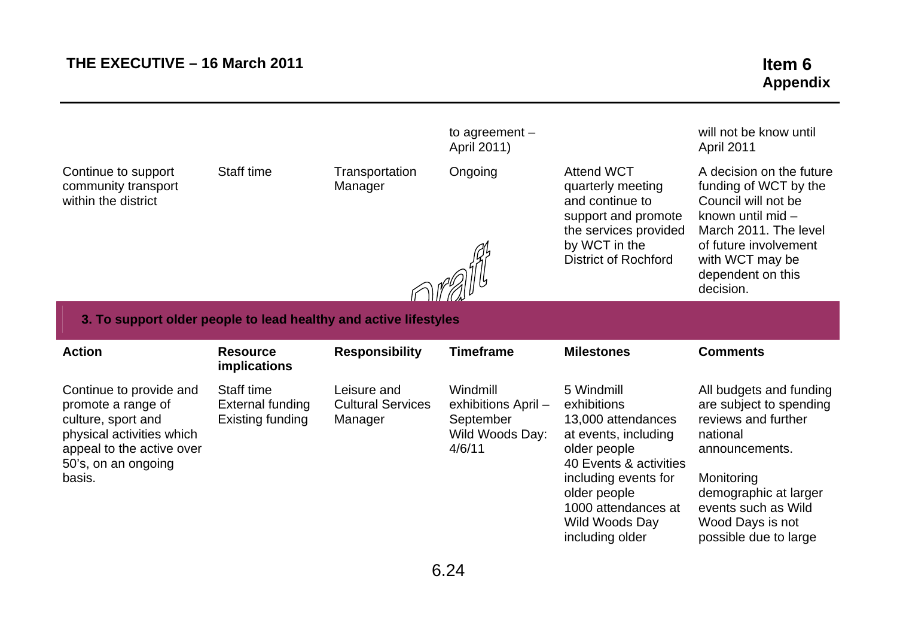|                                                                   |                                 |                           | to agreement $-$<br>April 2011) |                                                                                                                                                           | will not be know until<br>April 2011                                                                                                                                                                 |
|-------------------------------------------------------------------|---------------------------------|---------------------------|---------------------------------|-----------------------------------------------------------------------------------------------------------------------------------------------------------|------------------------------------------------------------------------------------------------------------------------------------------------------------------------------------------------------|
| Continue to support<br>community transport<br>within the district | Staff time                      | Transportation<br>Manager | Ongoing                         | <b>Attend WCT</b><br>quarterly meeting<br>and continue to<br>support and promote<br>the services provided<br>by WCT in the<br><b>District of Rochford</b> | A decision on the future<br>funding of WCT by the<br>Council will not be<br>known until mid -<br>March 2011. The level<br>of future involvement<br>with WCT may be<br>dependent on this<br>decision. |
| 3. To support older people to lead healthy and active lifestyles  |                                 |                           |                                 |                                                                                                                                                           |                                                                                                                                                                                                      |
|                                                                   |                                 |                           |                                 |                                                                                                                                                           |                                                                                                                                                                                                      |
| <b>Action</b>                                                     | <b>Resource</b><br>implications | <b>Responsibility</b>     | <b>Timeframe</b>                | <b>Milestones</b>                                                                                                                                         | <b>Comments</b>                                                                                                                                                                                      |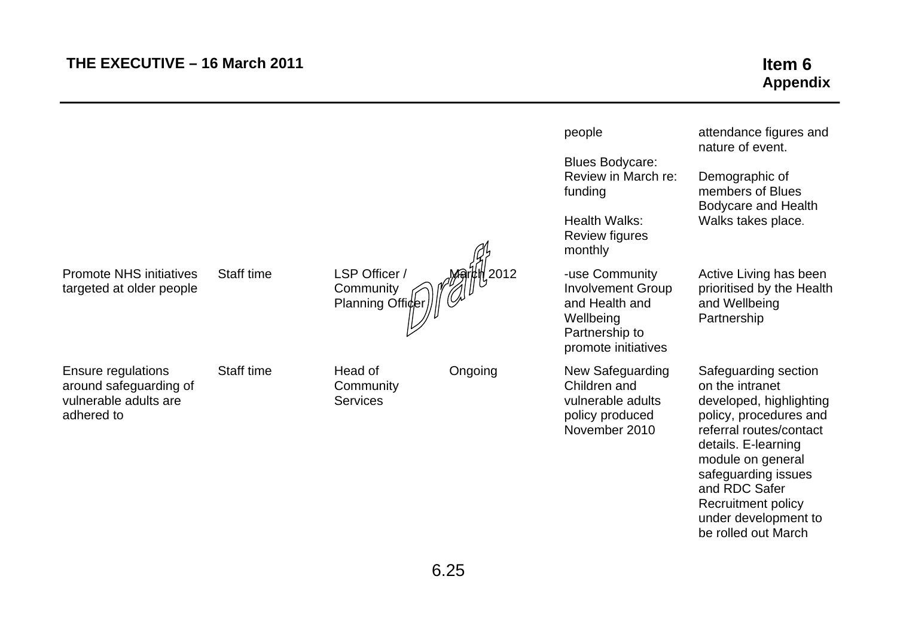be rolled out March

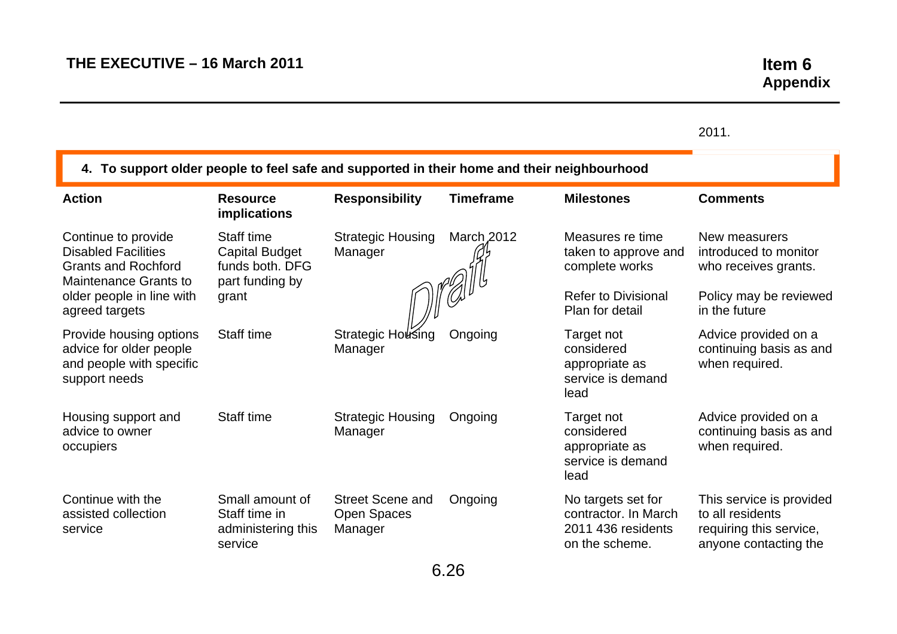|                                                                                                                 |                                                                           |                                                   |                   |                                                                                    | 2011.                                                                                            |
|-----------------------------------------------------------------------------------------------------------------|---------------------------------------------------------------------------|---------------------------------------------------|-------------------|------------------------------------------------------------------------------------|--------------------------------------------------------------------------------------------------|
| 4. To support older people to feel safe and supported in their home and their neighbourhood                     |                                                                           |                                                   |                   |                                                                                    |                                                                                                  |
| <b>Action</b>                                                                                                   | <b>Resource</b><br><b>implications</b>                                    | <b>Responsibility</b>                             | <b>Timeframe</b>  | <b>Milestones</b>                                                                  | <b>Comments</b>                                                                                  |
| Continue to provide<br><b>Disabled Facilities</b><br><b>Grants and Rochford</b><br><b>Maintenance Grants to</b> | Staff time<br><b>Capital Budget</b><br>funds both. DFG<br>part funding by | <b>Strategic Housing</b><br>Manager               | <b>March 2012</b> | Measures re time<br>taken to approve and<br>complete works                         | New measurers<br>introduced to monitor<br>who receives grants.                                   |
| older people in line with<br>agreed targets                                                                     | grant                                                                     |                                                   |                   | <b>Refer to Divisional</b><br>Plan for detail                                      | Policy may be reviewed<br>in the future                                                          |
| Provide housing options<br>advice for older people<br>and people with specific<br>support needs                 | Staff time                                                                | <b>Strategic Housing</b><br>Manager               | Ongoing           | Target not<br>considered<br>appropriate as<br>service is demand<br>lead            | Advice provided on a<br>continuing basis as and<br>when required.                                |
| Housing support and<br>advice to owner<br>occupiers                                                             | Staff time                                                                | <b>Strategic Housing</b><br>Manager               | Ongoing           | Target not<br>considered<br>appropriate as<br>service is demand<br>lead            | Advice provided on a<br>continuing basis as and<br>when required.                                |
| Continue with the<br>assisted collection<br>service                                                             | Small amount of<br>Staff time in<br>administering this<br>service         | <b>Street Scene and</b><br>Open Spaces<br>Manager | Ongoing           | No targets set for<br>contractor. In March<br>2011 436 residents<br>on the scheme. | This service is provided<br>to all residents<br>requiring this service,<br>anyone contacting the |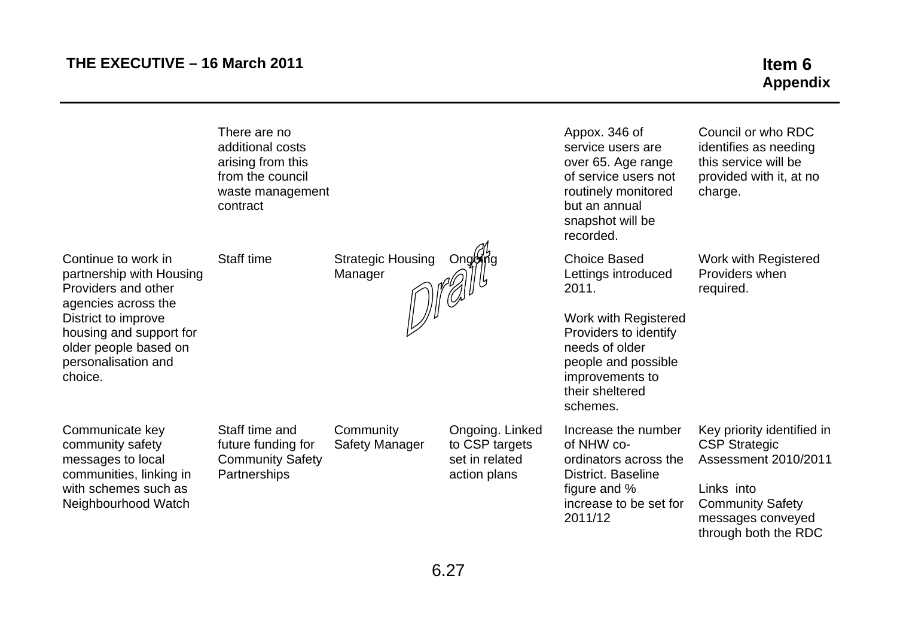|                                                                                                                                                                                                            | There are no<br>additional costs<br>arising from this<br>from the council<br>waste management<br>contract |                                     |                                                                     | Appox. 346 of<br>service users are<br>over 65. Age range<br>of service users not<br>routinely monitored<br>but an annual<br>snapshot will be<br>recorded.                                       | Council or who RDC<br>identifies as needing<br>this service will be<br>provided with it, at no<br>charge.                                                               |
|------------------------------------------------------------------------------------------------------------------------------------------------------------------------------------------------------------|-----------------------------------------------------------------------------------------------------------|-------------------------------------|---------------------------------------------------------------------|-------------------------------------------------------------------------------------------------------------------------------------------------------------------------------------------------|-------------------------------------------------------------------------------------------------------------------------------------------------------------------------|
| Continue to work in<br>partnership with Housing<br>Providers and other<br>agencies across the<br>District to improve<br>housing and support for<br>older people based on<br>personalisation and<br>choice. | Staff time                                                                                                | <b>Strategic Housing</b><br>Manager | Ongoing                                                             | <b>Choice Based</b><br>Lettings introduced<br>2011.<br>Work with Registered<br>Providers to identify<br>needs of older<br>people and possible<br>improvements to<br>their sheltered<br>schemes. | Work with Registered<br>Providers when<br>required.                                                                                                                     |
| Communicate key<br>community safety<br>messages to local<br>communities, linking in<br>with schemes such as<br>Neighbourhood Watch                                                                         | Staff time and<br>future funding for<br><b>Community Safety</b><br>Partnerships                           | Community<br><b>Safety Manager</b>  | Ongoing. Linked<br>to CSP targets<br>set in related<br>action plans | Increase the number<br>of NHW co-<br>ordinators across the<br>District. Baseline<br>figure and %<br>increase to be set for<br>2011/12                                                           | Key priority identified in<br><b>CSP Strategic</b><br><b>Assessment 2010/2011</b><br>Links into<br><b>Community Safety</b><br>messages conveyed<br>through both the RDC |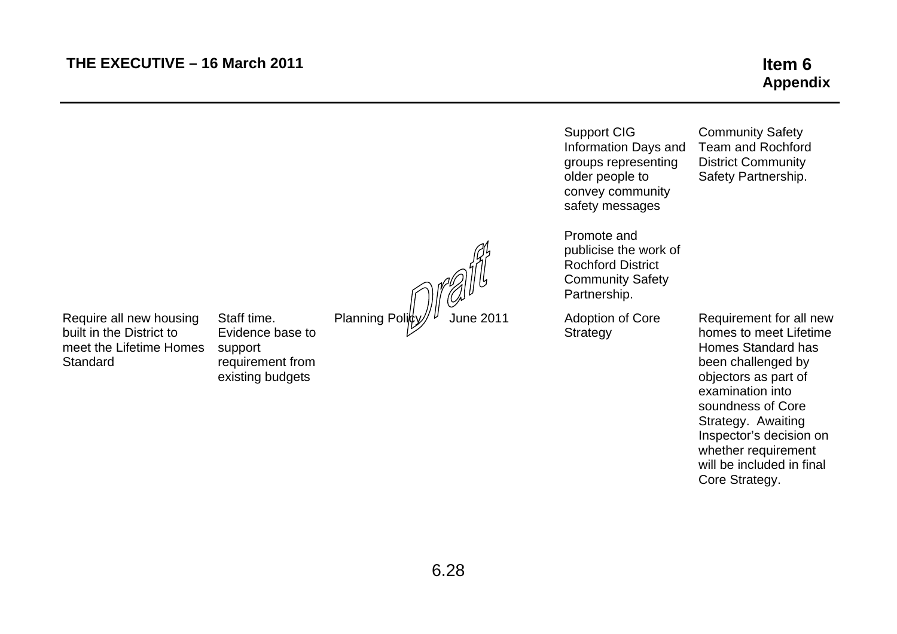|                                                                                            |                                                                                    |                             | <b>Support CIG</b><br>Information Days and<br>groups representing<br>older people to<br>convey community<br>safety messages | <b>Community Safety</b><br><b>Team and Rochford</b><br><b>District Community</b><br>Safety Partnership.                                                                                                                                                                               |
|--------------------------------------------------------------------------------------------|------------------------------------------------------------------------------------|-----------------------------|-----------------------------------------------------------------------------------------------------------------------------|---------------------------------------------------------------------------------------------------------------------------------------------------------------------------------------------------------------------------------------------------------------------------------------|
|                                                                                            |                                                                                    | Planning Polity / June 2011 | Promote and<br>publicise the work of<br><b>Rochford District</b><br><b>Community Safety</b><br>Partnership.                 |                                                                                                                                                                                                                                                                                       |
| Require all new housing<br>built in the District to<br>meet the Lifetime Homes<br>Standard | Staff time.<br>Evidence base to<br>support<br>requirement from<br>existing budgets |                             | Adoption of Core<br>Strategy                                                                                                | Requirement for all new<br>homes to meet Lifetime<br>Homes Standard has<br>been challenged by<br>objectors as part of<br>examination into<br>soundness of Core<br>Strategy. Awaiting<br>Inspector's decision on<br>whether requirement<br>will be included in final<br>Core Strategy. |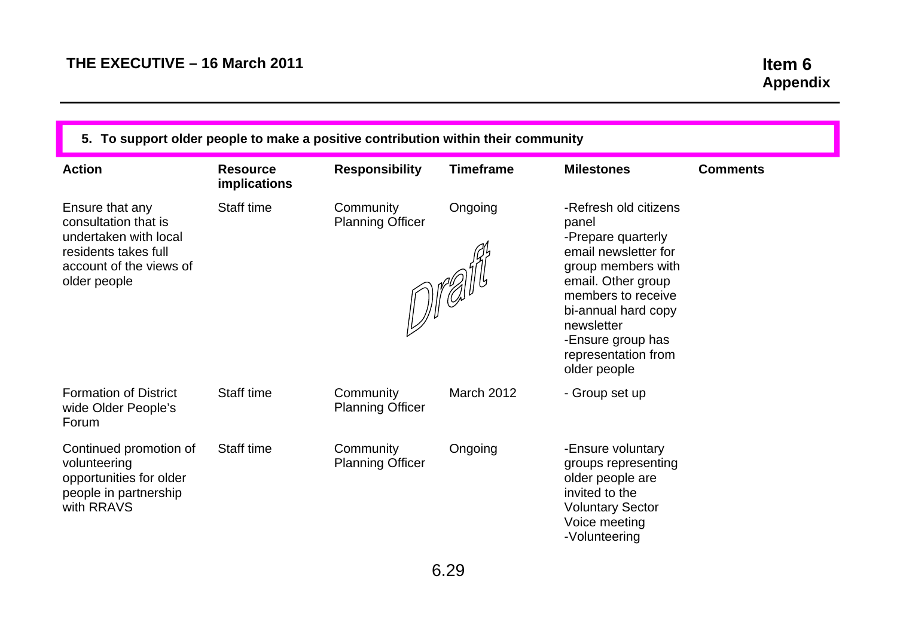| 5. To support older people to make a positive contribution within their community                                                   |                                 |                                      |                                                                  |                                                                                                                                                                                                                                                 |                 |  |
|-------------------------------------------------------------------------------------------------------------------------------------|---------------------------------|--------------------------------------|------------------------------------------------------------------|-------------------------------------------------------------------------------------------------------------------------------------------------------------------------------------------------------------------------------------------------|-----------------|--|
| <b>Action</b>                                                                                                                       | <b>Resource</b><br>implications | <b>Responsibility</b>                | <b>Timeframe</b>                                                 | <b>Milestones</b>                                                                                                                                                                                                                               | <b>Comments</b> |  |
| Ensure that any<br>consultation that is<br>undertaken with local<br>residents takes full<br>account of the views of<br>older people | Staff time                      | Community<br><b>Planning Officer</b> | Ongoing<br>$\text{dist}(\mathcal{A}) = \text{dist}(\mathcal{A})$ | -Refresh old citizens<br>panel<br>-Prepare quarterly<br>email newsletter for<br>group members with<br>email. Other group<br>members to receive<br>bi-annual hard copy<br>newsletter<br>-Ensure group has<br>representation from<br>older people |                 |  |
| <b>Formation of District</b><br>wide Older People's<br>Forum                                                                        | Staff time                      | Community<br><b>Planning Officer</b> | March 2012                                                       | - Group set up                                                                                                                                                                                                                                  |                 |  |
| Continued promotion of<br>volunteering<br>opportunities for older<br>people in partnership<br>with RRAVS                            | Staff time                      | Community<br><b>Planning Officer</b> | Ongoing                                                          | -Ensure voluntary<br>groups representing<br>older people are<br>invited to the<br><b>Voluntary Sector</b><br>Voice meeting<br>-Volunteering                                                                                                     |                 |  |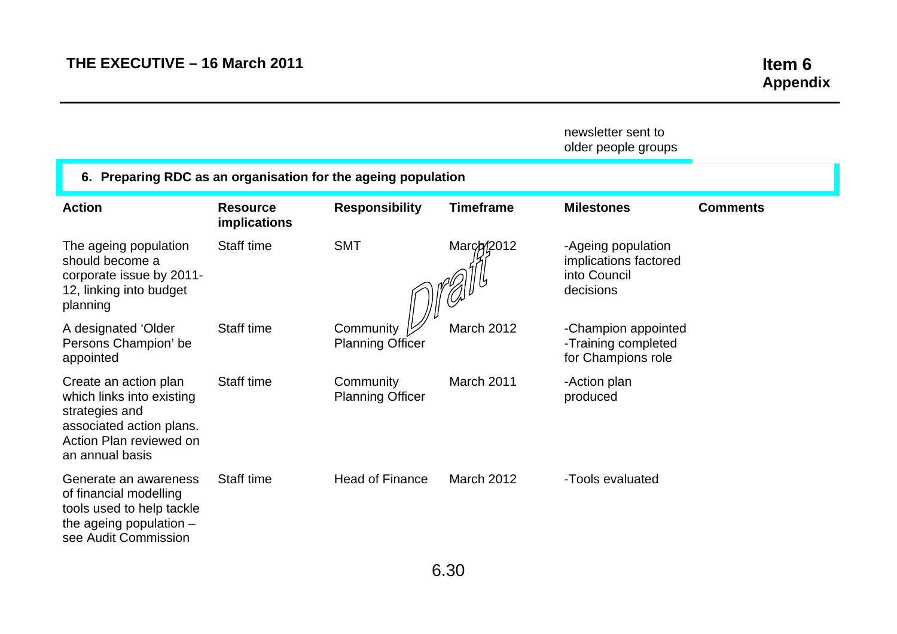|                                                                                                                                                |                                 |                                      |                   | newsletter sent to<br>older people groups                                |                 |
|------------------------------------------------------------------------------------------------------------------------------------------------|---------------------------------|--------------------------------------|-------------------|--------------------------------------------------------------------------|-----------------|
| 6. Preparing RDC as an organisation for the ageing population                                                                                  |                                 |                                      |                   |                                                                          |                 |
| <b>Action</b>                                                                                                                                  | <b>Resource</b><br>implications | <b>Responsibility</b>                | <b>Timeframe</b>  | <b>Milestones</b>                                                        | <b>Comments</b> |
| The ageing population<br>should become a<br>corporate issue by 2011-<br>12, linking into budget<br>planning                                    | Staff time                      | <b>SMT</b>                           | March/2012        | -Ageing population<br>implications factored<br>into Council<br>decisions |                 |
| A designated 'Older<br>Persons Champion' be<br>appointed                                                                                       | Staff time                      | Community<br><b>Planning Officer</b> | <b>March 2012</b> | -Champion appointed<br>-Training completed<br>for Champions role         |                 |
| Create an action plan<br>which links into existing<br>strategies and<br>associated action plans.<br>Action Plan reviewed on<br>an annual basis | Staff time                      | Community<br><b>Planning Officer</b> | March 2011        | -Action plan<br>produced                                                 |                 |
| Generate an awareness<br>of financial modelling<br>tools used to help tackle<br>the ageing population $-$<br>see Audit Commission              | Staff time                      | <b>Head of Finance</b>               | <b>March 2012</b> | -Tools evaluated                                                         |                 |